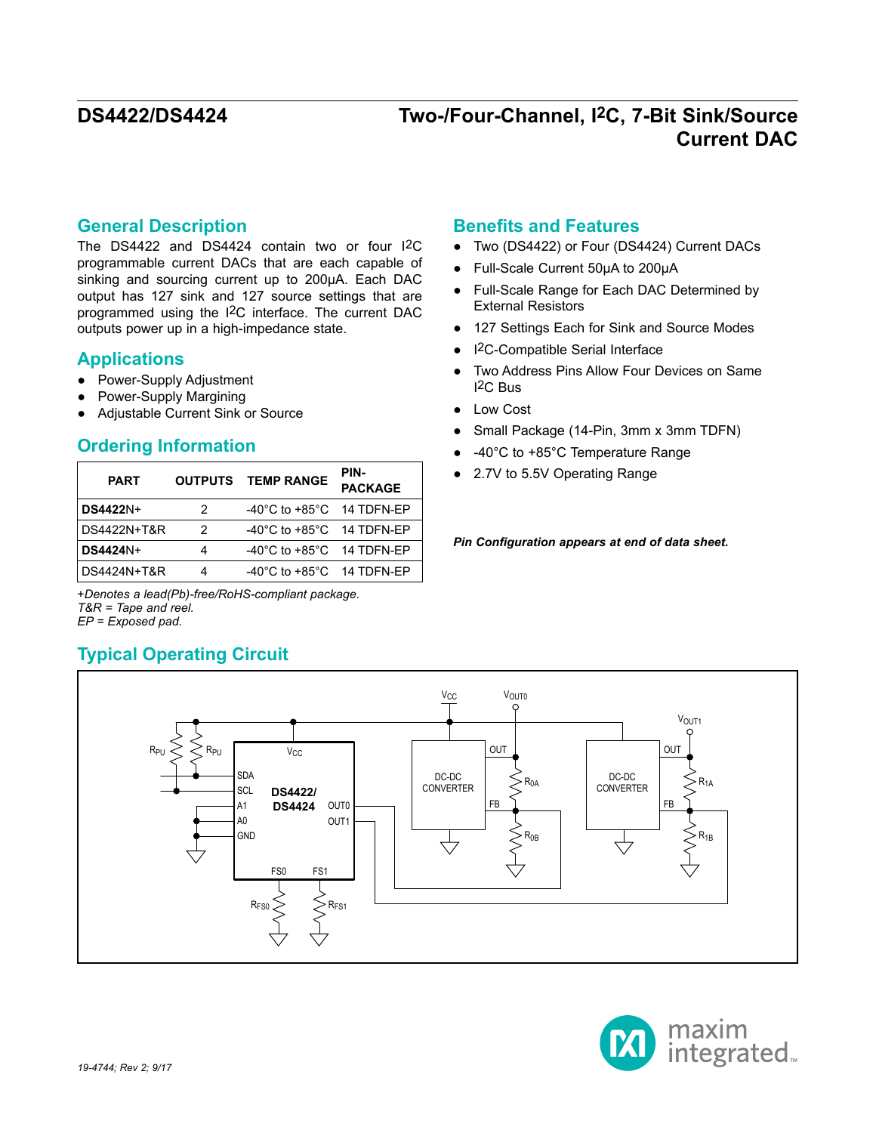### **General Description**

The DS4422 and DS4424 contain two or four I2C programmable current DACs that are each capable of sinking and sourcing current up to 200μA. Each DAC output has 127 sink and 127 source settings that are programmed using the I2C interface. The current DAC outputs power up in a high-impedance state.

### **Applications**

- Power-Supply Adjustment
- Power-Supply Margining
- Adjustable Current Sink or Source

### **Ordering Information**

| <b>PART</b>     |               | <b>OUTPUTS TEMP RANGE</b>                     | PIN-<br><b>PACKAGE</b> |
|-----------------|---------------|-----------------------------------------------|------------------------|
| <b>DS4422N+</b> | 2             | $-40^{\circ}$ C to $+85^{\circ}$ C 14 TDFN-EP |                        |
| DS4422N+T&R     | $\mathcal{P}$ | $-40^{\circ}$ C to $+85^{\circ}$ C 14 TDFN-EP |                        |
| <b>DS4424N+</b> | 4             | $-40^{\circ}$ C to $+85^{\circ}$ C 14 TDFN-EP |                        |
| DS4424N+T&R     |               | $-40^{\circ}$ C to $+85^{\circ}$ C 14 TDFN-EP |                        |

+*Denotes a lead(Pb)-free/RoHS-compliant package. T&R = Tape and reel.*

*EP = Exposed pad.*

## **Typical Operating Circuit**

### **Benefits and Features**

- Two (DS4422) or Four (DS4424) Current DACs
- Full-Scale Current 50μA to 200μA
- Full-Scale Range for Each DAC Determined by External Resistors
- 127 Settings Each for Sink and Source Modes
- I2C-Compatible Serial Interface
- Two Address Pins Allow Four Devices on Same I2C Bus
- Low Cost
- Small Package (14-Pin, 3mm x 3mm TDFN)
- -40°C to +85°C Temperature Range
- 2.7V to 5.5V Operating Range

*Pin Configuration appears at end of data sheet.*



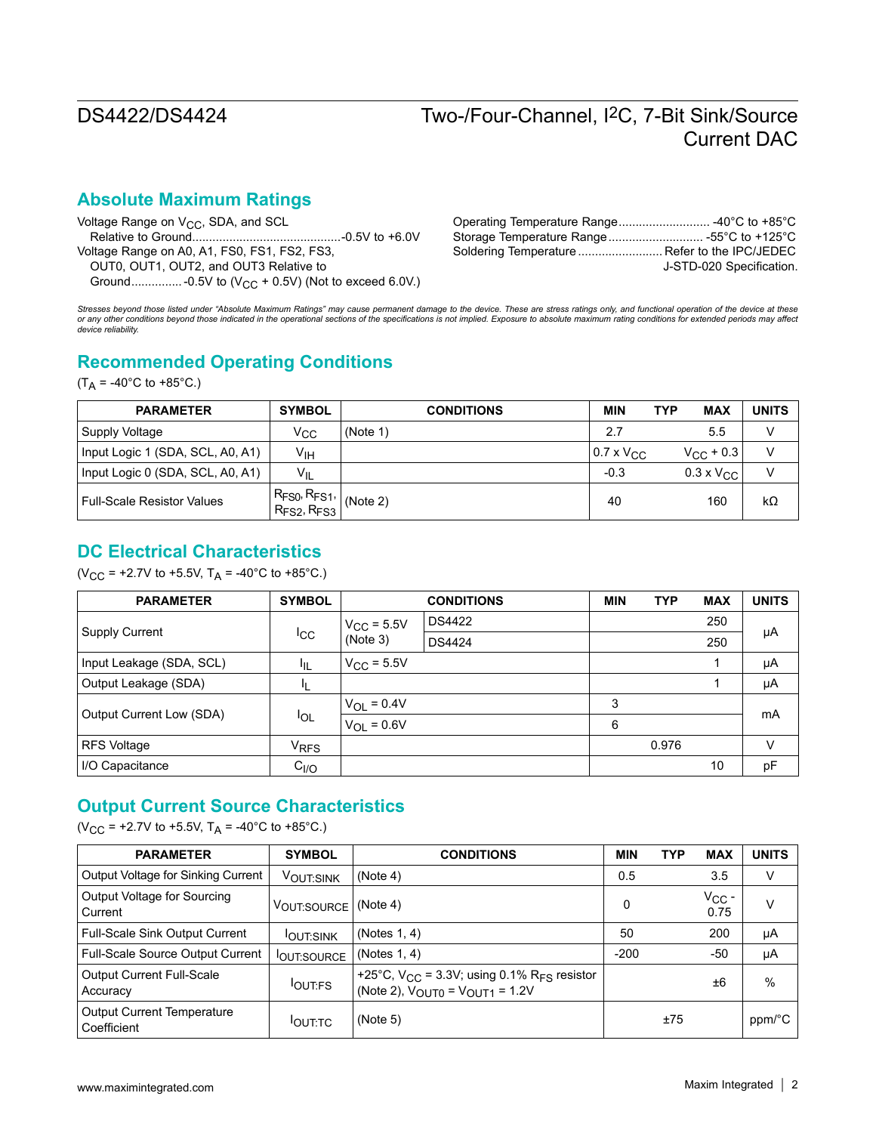## **Absolute Maximum Ratings**

| Voltage Range on $V_{CC}$ , SDA, and SCL     |                                               |                          |
|----------------------------------------------|-----------------------------------------------|--------------------------|
|                                              |                                               |                          |
| Voltage Range on A0, A1, FS0, FS1, FS2, FS3, | Soldering Temperature  Refer to the IPC/JEDEC |                          |
| OUT0, OUT1, OUT2, and OUT3 Relative to       |                                               | J-STD-020 Specification. |
|                                              |                                               |                          |

Stresses beyond those listed under "Absolute Maximum Ratings" may cause permanent damage to the device. These are stress ratings only, and functional operation of the device at these<br>or any other conditions beyond those in *device reliability.*

## **Recommended Operating Conditions**

 $(T_A = -40^{\circ}C \text{ to } +85^{\circ}C.)$ 

| <b>PARAMETER</b>                  | <b>SYMBOL</b>                                                                                                                                                     | <b>CONDITIONS</b> | <b>MIN</b>                 | <b>MAX</b><br>TYP       | <b>UNITS</b> |
|-----------------------------------|-------------------------------------------------------------------------------------------------------------------------------------------------------------------|-------------------|----------------------------|-------------------------|--------------|
| Supply Voltage                    | Vcc                                                                                                                                                               | (Note 1)          | 2.7                        | 5.5                     | V            |
| Input Logic 1 (SDA, SCL, A0, A1)  | V <sub>IH</sub>                                                                                                                                                   |                   | $0.7 \times V_{\text{CC}}$ | $V_{\rm CC}$ + 0.3      | $\vee$       |
| Input Logic 0 (SDA, SCL, A0, A1)  | $V_{IL}$                                                                                                                                                          |                   | $-0.3$                     | $0.3 \times V_{\rm CC}$ | v            |
| <b>Full-Scale Resistor Values</b> | $\left \frac{\mathsf{R}_{\mathsf{FS0}},\mathsf{R}_{\mathsf{FS1}},\mathsf{R}_{\mathsf{FS3}}}{\mathsf{R}_{\mathsf{FS2}},\mathsf{R}_{\mathsf{FS3}}}\right $ (Note 2) |                   | 40                         | 160                     | $k\Omega$    |

## **DC Electrical Characteristics**

(V<sub>CC</sub> = +2.7V to +5.5V,  $T_A$  = -40°C to +85°C.)

| <b>PARAMETER</b>         | <b>SYMBOL</b>    |                        | <b>CONDITIONS</b> | <b>MIN</b> | <b>TYP</b> | <b>MAX</b> | <b>UNITS</b> |  |
|--------------------------|------------------|------------------------|-------------------|------------|------------|------------|--------------|--|
|                          | ICC              | $V_{\rm CC}$ = 5.5V    | <b>DS4422</b>     |            |            | 250        |              |  |
| <b>Supply Current</b>    |                  | (Note 3)               | <b>DS4424</b>     |            |            | 250        | μA           |  |
| Input Leakage (SDA, SCL) | ŀμ               | $V_{\text{CC}}$ = 5.5V |                   |            |            |            | μA           |  |
| Output Leakage (SDA)     |                  |                        |                   |            |            |            | μA           |  |
| Output Current Low (SDA) | <b>I</b> OL      | $V_{OL} = 0.4V$        |                   | 3          |            |            |              |  |
|                          |                  | $V_{OL} = 0.6V$        |                   | 6          |            |            | mA           |  |
| <b>RFS Voltage</b>       | V <sub>RFS</sub> |                        |                   |            | 0.976      |            | V            |  |
| I/O Capacitance          | C <sub>I/O</sub> |                        |                   |            |            | 10         | pF           |  |

## **Output Current Source Characteristics**

(V<sub>CC</sub> = +2.7V to +5.5V,  $T_A$  = -40°C to +85°C.)

| <b>PARAMETER</b>                          | <b>SYMBOL</b>     | <b>CONDITIONS</b>                                                                                                   | <b>MIN</b> | <b>TYP</b> | <b>MAX</b>         | <b>UNITS</b>  |
|-------------------------------------------|-------------------|---------------------------------------------------------------------------------------------------------------------|------------|------------|--------------------|---------------|
| Output Voltage for Sinking Current        | VOUT:SINK         | (Note 4)                                                                                                            | 0.5        |            | 3.5                | V             |
| Output Voltage for Sourcing<br>l Current  | VOUT:SOURCE       | (Note 4)                                                                                                            | 0          |            | $V_{CC}$ -<br>0.75 | V             |
| Full-Scale Sink Output Current            | <b>IOUT:SINK</b>  | (Notes $1, 4$ )                                                                                                     | 50         |            | 200                | μA            |
| Full-Scale Source Output Current          | <b>OUT:SOURCE</b> | (Notes 1, 4)                                                                                                        | $-200$     |            | -50                | μA            |
| Output Current Full-Scale<br>Accuracy     | <b>OUT:FS</b>     | +25°C, $V_{CC}$ = 3.3V; using 0.1% R <sub>FS</sub> resistor<br>(Note 2), $V_{\text{OUT0}} = V_{\text{OUT1}} = 1.2V$ |            |            | ±6                 | $\frac{0}{0}$ |
| Output Current Temperature<br>Coefficient | <b>IOUT:TC</b>    | (Note 5)                                                                                                            |            | ±75        |                    | ppm/°C        |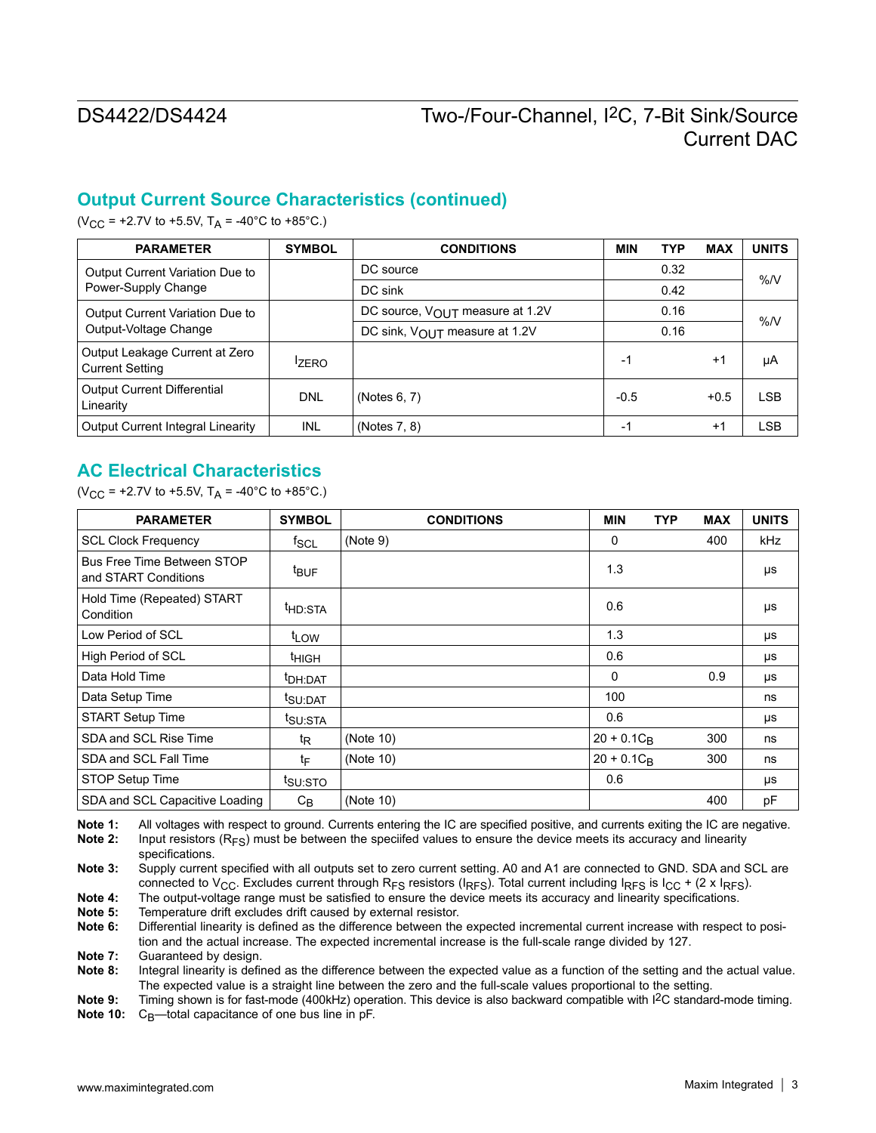# **Output Current Source Characteristics (continued)**

(V<sub>CC</sub> = +2.7V to +5.5V, T<sub>A</sub> = -40°C to +85°C.)

| <b>PARAMETER</b>                                         | <b>SYMBOL</b> | <b>CONDITIONS</b>               | <b>MIN</b> | <b>TYP</b> | <b>MAX</b> | <b>UNITS</b> |  |
|----------------------------------------------------------|---------------|---------------------------------|------------|------------|------------|--------------|--|
| Output Current Variation Due to                          |               | DC source                       |            | 0.32       |            | %N           |  |
| Power-Supply Change                                      |               | DC sink                         |            | 0.42       |            |              |  |
| Output Current Variation Due to                          |               | DC source, VOUT measure at 1.2V |            | 0.16       |            | %N           |  |
| Output-Voltage Change                                    |               | DC sink, VOUT measure at 1.2V   | 0.16       |            |            |              |  |
| Output Leakage Current at Zero<br><b>Current Setting</b> | <b>IZERO</b>  |                                 | $-1$       |            | $+1$       | μA           |  |
| <b>Output Current Differential</b><br>Linearity          | <b>DNL</b>    | (Notes 6, 7)                    | $-0.5$     |            | $+0.5$     | LSB          |  |
| <b>Output Current Integral Linearity</b>                 | INL           | (Notes 7, 8)                    | $-1$       |            | $+1$       | LSB          |  |

## **AC Electrical Characteristics**

(V<sub>CC</sub> = +2.7V to +5.5V, T<sub>A</sub> = -40°C to +85°C.)

| <b>PARAMETER</b>                                   | <b>SYMBOL</b>       | <b>CONDITIONS</b> | <b>MIN</b>    | <b>TYP</b> | <b>MAX</b> | <b>UNITS</b> |
|----------------------------------------------------|---------------------|-------------------|---------------|------------|------------|--------------|
| <b>SCL Clock Frequency</b>                         | <sup>f</sup> SCL    | (Note 9)          | 0             |            | 400        | kHz          |
| Bus Free Time Between STOP<br>and START Conditions | <sup>t</sup> BUF    |                   | 1.3           |            |            | μs           |
| Hold Time (Repeated) START<br>Condition            | <sup>t</sup> HD:STA |                   | 0.6           |            |            | μs           |
| Low Period of SCL                                  | t <sub>LOW</sub>    |                   | 1.3           |            |            | μs           |
| High Period of SCL                                 | <sup>t</sup> нісн   |                   | 0.6           |            |            | μs           |
| Data Hold Time                                     | <sup>t</sup> DH:DAT |                   | 0             |            | 0.9        | μs           |
| Data Setup Time                                    | tsu:DAT             |                   | 100           |            |            | ns           |
| <b>START Setup Time</b>                            | t <sub>SU:STA</sub> |                   | 0.6           |            |            | μs           |
| SDA and SCL Rise Time                              | t <sub>R</sub>      | (Note 10)         | $20 + 0.1C_R$ |            | 300        | ns           |
| SDA and SCL Fall Time                              | t⊧                  | (Note 10)         | $20 + 0.1C_B$ |            | 300        | ns           |
| STOP Setup Time                                    | tsu:sto             |                   | 0.6           |            |            | μs           |
| SDA and SCL Capacitive Loading                     | $C_{\mathsf{B}}$    | (Note 10)         |               |            | 400        | pF           |

**Note 1:** All voltages with respect to ground. Currents entering the IC are specified positive, and currents exiting the IC are negative.<br>**Note 2:** Input resistors (R<sub>ES</sub>) must be between the specifed values to ensure the **Note 2:** Input resistors (RFS) must be between the speciifed values to ensure the device meets its accuracy and linearity specifications.

**Note 3:** Supply current specified with all outputs set to zero current setting. A0 and A1 are connected to GND. SDA and SCL are connected to V<sub>CC</sub>. Excludes current through R<sub>FS</sub> resistors ( $I_{RFS}$ ). Total current including  $I_{RFS}$  is  $I_{C}$  + (2 x  $I_{RFS}$ ).

**Note 4:** The output-voltage range must be satisfied to ensure the device meets its accuracy and linearity specifications.<br>Note 5: Temperature drift excludes drift caused by external resistor

**Note 5:** Temperature drift excludes drift caused by external resistor.<br>**Note 6:** Differential linearity is defined as the difference between the

**Note 6:** Differential linearity is defined as the difference between the expected incremental current increase with respect to position and the actual increase. The expected incremental increase is the full-scale range divided by 127.

**Note 7:** Guaranteed by design.<br>**Note 8:** Integral linearity is defined

**Note 8:** Integral linearity is defined as the difference between the expected value as a function of the setting and the actual value. The expected value is a straight line between the zero and the full-scale values proportional to the setting.

**Note 9:** Timing shown is for fast-mode (400kHz) operation. This device is also backward compatible with I2C standard-mode timing. Note 10: C<sub>B</sub>—total capacitance of one bus line in pF.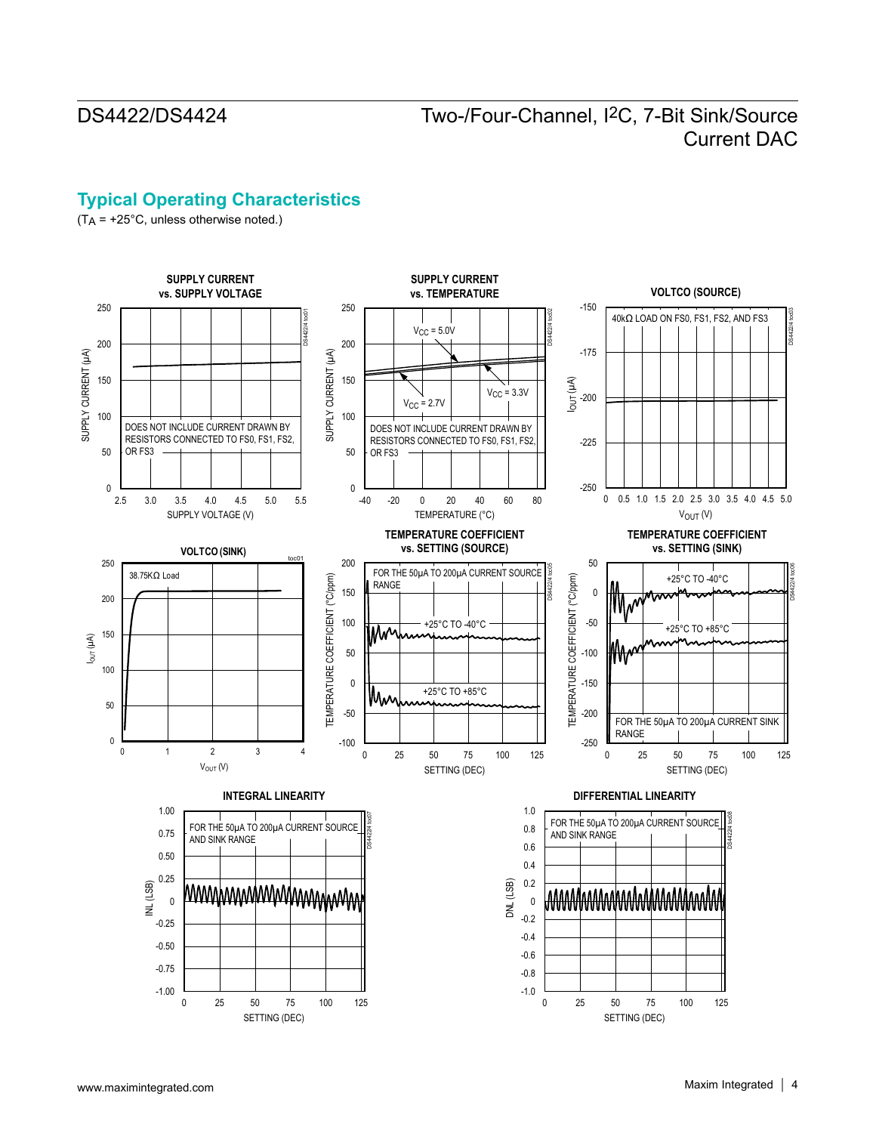# **Typical Operating Characteristics**

 $(T_A = +25^{\circ}C,$  unless otherwise noted.)

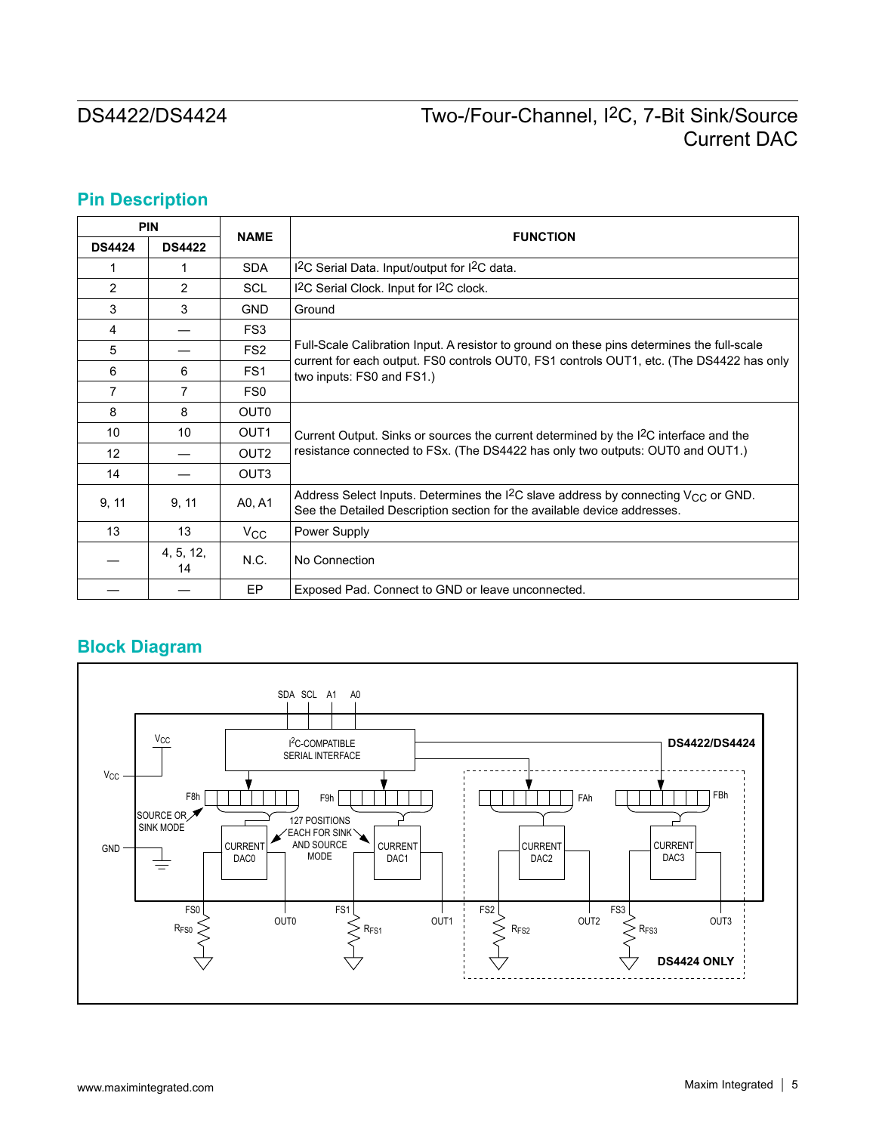# **Pin Description**

| <b>PIN</b>     |                 |                  | <b>FUNCTION</b>                                                                                                                                                                 |
|----------------|-----------------|------------------|---------------------------------------------------------------------------------------------------------------------------------------------------------------------------------|
| <b>DS4424</b>  | <b>DS4422</b>   | <b>NAME</b>      |                                                                                                                                                                                 |
| 1              | 1               | <b>SDA</b>       | I <sup>2</sup> C Serial Data. Input/output for I <sup>2</sup> C data.                                                                                                           |
| $\overline{2}$ | $\overline{2}$  | <b>SCL</b>       | I <sup>2</sup> C Serial Clock. Input for I <sup>2</sup> C clock.                                                                                                                |
| 3              | 3               | <b>GND</b>       | Ground                                                                                                                                                                          |
| 4              |                 | FS <sub>3</sub>  |                                                                                                                                                                                 |
| 5              |                 | FS <sub>2</sub>  | Full-Scale Calibration Input. A resistor to ground on these pins determines the full-scale                                                                                      |
| 6              | 6               | FS <sub>1</sub>  | current for each output. FS0 controls OUT0, FS1 controls OUT1, etc. (The DS4422 has only<br>two inputs: FS0 and FS1.)                                                           |
| $\overline{7}$ | 7               | FS0              |                                                                                                                                                                                 |
| 8              | 8               | OUT <sub>0</sub> |                                                                                                                                                                                 |
| 10             | 10              | OUT <sub>1</sub> | Current Output. Sinks or sources the current determined by the I <sup>2</sup> C interface and the                                                                               |
| 12             |                 | OUT <sub>2</sub> | resistance connected to FSx. (The DS4422 has only two outputs: OUT0 and OUT1.)                                                                                                  |
| 14             |                 | OUT <sub>3</sub> |                                                                                                                                                                                 |
| 9, 11          | 9, 11           | A0, A1           | Address Select Inputs. Determines the I <sup>2</sup> C slave address by connecting $V_{CC}$ or GND.<br>See the Detailed Description section for the available device addresses. |
| 13             | 13              | $V_{\rm CC}$     | Power Supply                                                                                                                                                                    |
|                | 4, 5, 12,<br>14 | N.C.             | No Connection                                                                                                                                                                   |
|                |                 | EP               | Exposed Pad. Connect to GND or leave unconnected.                                                                                                                               |

# **Block Diagram**

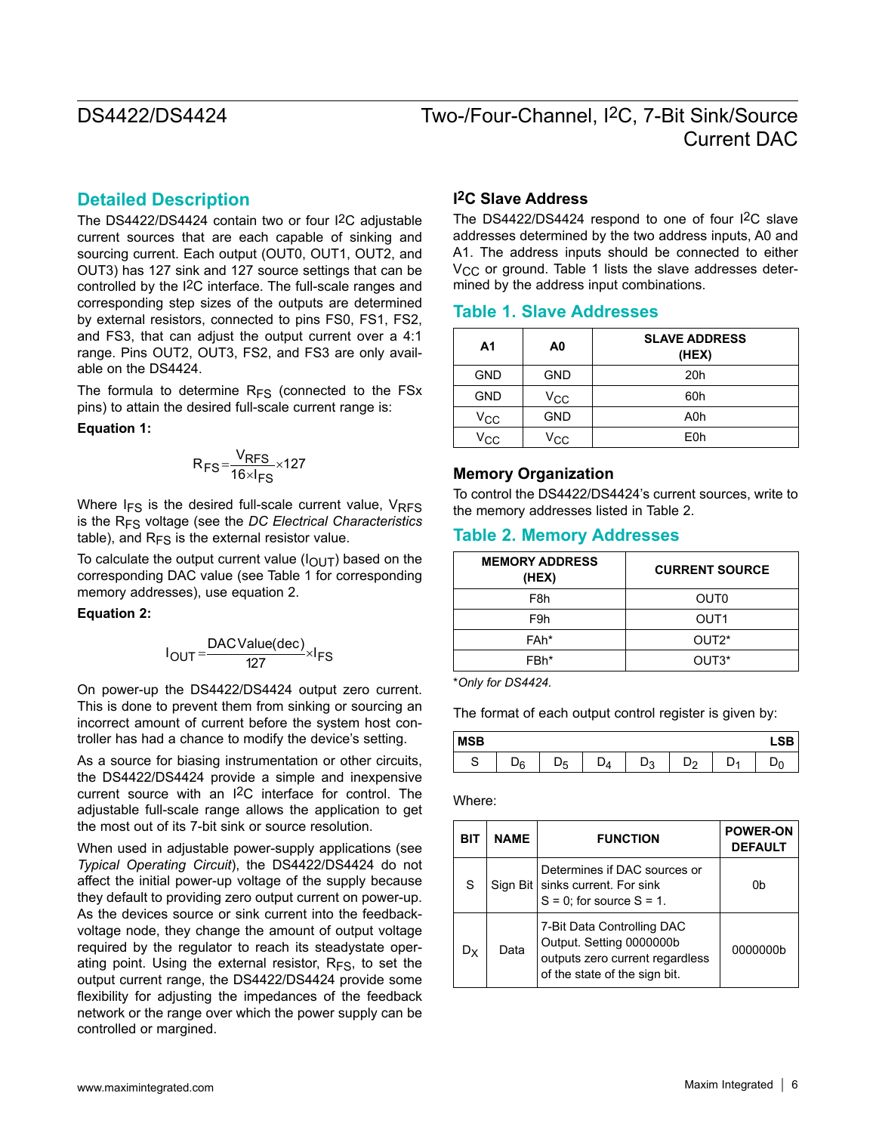### **Detailed Description**

The DS4422/DS4424 contain two or four I2C adjustable current sources that are each capable of sinking and sourcing current. Each output (OUT0, OUT1, OUT2, and OUT3) has 127 sink and 127 source settings that can be controlled by the I2C interface. The full-scale ranges and corresponding step sizes of the outputs are determined by external resistors, connected to pins FS0, FS1, FS2, and FS3, that can adjust the output current over a 4:1 range. Pins OUT2, OUT3, FS2, and FS3 are only available on the DS4424.

The formula to determine  $R_{FS}$  (connected to the FSx pins) to attain the desired full-scale current range is:

#### **Equation 1:**

$$
R_{FS} = \frac{V_{RFS}}{16 \times I_{FS}} \times 127
$$

Where  $I_{FS}$  is the desired full-scale current value,  $V_{RFS}$ is the RFS voltage (see the *DC Electrical Characteristics* table), and  $R_{FS}$  is the external resistor value.

To calculate the output current value  $(I<sub>OUT</sub>)$  based on the corresponding DAC value (see Table 1 for corresponding memory addresses), use equation 2.

#### **Equation 2:**

$$
I_{OUT} = \frac{DACValue(dec)}{127} \times I_{FS}
$$

On power-up the DS4422/DS4424 output zero current. This is done to prevent them from sinking or sourcing an incorrect amount of current before the system host controller has had a chance to modify the device's setting.

As a source for biasing instrumentation or other circuits, the DS4422/DS4424 provide a simple and inexpensive current source with an I2C interface for control. The adjustable full-scale range allows the application to get the most out of its 7-bit sink or source resolution.

When used in adjustable power-supply applications (see *Typical Operating Circuit*), the DS4422/DS4424 do not affect the initial power-up voltage of the supply because they default to providing zero output current on power-up. As the devices source or sink current into the feedbackvoltage node, they change the amount of output voltage required by the regulator to reach its steadystate operating point. Using the external resistor,  $R_{FS}$ , to set the output current range, the DS4422/DS4424 provide some flexibility for adjusting the impedances of the feedback network or the range over which the power supply can be controlled or margined.

### **I2C Slave Address**

The DS4422/DS4424 respond to one of four I2C slave addresses determined by the two address inputs, A0 and A1. The address inputs should be connected to either  $V_{\text{CC}}$  or ground. Table 1 lists the slave addresses determined by the address input combinations.

### **Table 1. Slave Addresses**

| A <sub>1</sub> | A0         | <b>SLAVE ADDRESS</b><br>(HEX) |
|----------------|------------|-------------------------------|
| <b>GND</b>     | <b>GND</b> | 20h                           |
| <b>GND</b>     | Vcc        | 60h                           |
| Vcc            | <b>GND</b> | A0h                           |
| $V_{\rm CC}$   | Vcc        | E <sub>0</sub> h              |

#### **Memory Organization**

To control the DS4422/DS4424's current sources, write to the memory addresses listed in Table 2.

### **Table 2. Memory Addresses**

| <b>MEMORY ADDRESS</b><br>(HEX) | <b>CURRENT SOURCE</b> |
|--------------------------------|-----------------------|
| F <sub>8</sub> h               | OUT <sub>0</sub>      |
| F9h                            | OUT1                  |
| FAh*                           | OUT <sub>2</sub> *    |
| FBh*                           | OUT3*                 |

\**Only for DS4424.*

The format of each output control register is given by:

| <b>MSB</b> |    |   |           |   |  |
|------------|----|---|-----------|---|--|
| ت          | 'o | Ð | בינ<br>د. | - |  |

Where:

| BIT            | <b>NAME</b> | <b>FUNCTION</b>                                                                                                            | <b>POWER-ON</b><br><b>DEFAULT</b> |
|----------------|-------------|----------------------------------------------------------------------------------------------------------------------------|-----------------------------------|
| S              |             | Determines if DAC sources or<br>Sign Bit   sinks current. For sink<br>$S = 0$ ; for source $S = 1$ .                       | 0b                                |
| D <sub>X</sub> | Data        | 7-Bit Data Controlling DAC<br>Output. Setting 0000000b<br>outputs zero current regardless<br>of the state of the sign bit. | 0000000b                          |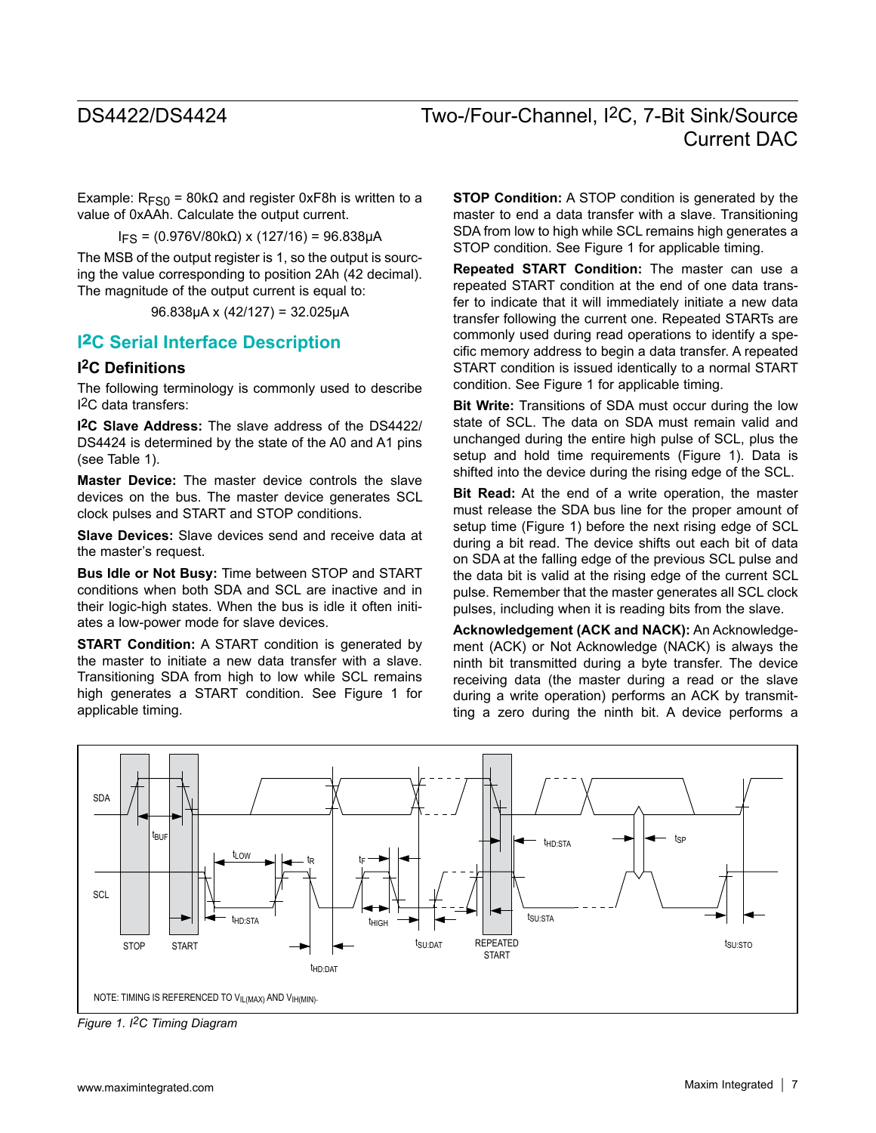Example:  $R_{FSO}$  = 80k $\Omega$  and register 0xF8h is written to a value of 0xAAh. Calculate the output current.

 $I_{FS}$  = (0.976V/80kΩ) x (127/16) = 96.838μA

The MSB of the output register is 1, so the output is sourcing the value corresponding to position 2Ah (42 decimal). The magnitude of the output current is equal to:

96.838μA x (42/127) = 32.025μA

## **I**2**C Serial Interface Description**

### **I2C Definitions**

The following terminology is commonly used to describe I2C data transfers:

**I2C Slave Address:** The slave address of the DS4422/ DS4424 is determined by the state of the A0 and A1 pins (see Table 1).

**Master Device:** The master device controls the slave devices on the bus. The master device generates SCL clock pulses and START and STOP conditions.

**Slave Devices:** Slave devices send and receive data at the master's request.

**Bus Idle or Not Busy:** Time between STOP and START conditions when both SDA and SCL are inactive and in their logic-high states. When the bus is idle it often initiates a low-power mode for slave devices.

**START Condition:** A START condition is generated by the master to initiate a new data transfer with a slave. Transitioning SDA from high to low while SCL remains high generates a START condition. See Figure 1 for applicable timing.

**STOP Condition:** A STOP condition is generated by the master to end a data transfer with a slave. Transitioning SDA from low to high while SCL remains high generates a STOP condition. See Figure 1 for applicable timing.

**Repeated START Condition:** The master can use a repeated START condition at the end of one data transfer to indicate that it will immediately initiate a new data transfer following the current one. Repeated STARTs are commonly used during read operations to identify a specific memory address to begin a data transfer. A repeated START condition is issued identically to a normal START condition. See Figure 1 for applicable timing.

**Bit Write:** Transitions of SDA must occur during the low state of SCL. The data on SDA must remain valid and unchanged during the entire high pulse of SCL, plus the setup and hold time requirements (Figure 1). Data is shifted into the device during the rising edge of the SCL.

**Bit Read:** At the end of a write operation, the master must release the SDA bus line for the proper amount of setup time (Figure 1) before the next rising edge of SCL during a bit read. The device shifts out each bit of data on SDA at the falling edge of the previous SCL pulse and the data bit is valid at the rising edge of the current SCL pulse. Remember that the master generates all SCL clock pulses, including when it is reading bits from the slave.

**Acknowledgement (ACK and NACK):** An Acknowledgement (ACK) or Not Acknowledge (NACK) is always the ninth bit transmitted during a byte transfer. The device receiving data (the master during a read or the slave during a write operation) performs an ACK by transmitting a zero during the ninth bit. A device performs a



*Figure 1. I2C Timing Diagram*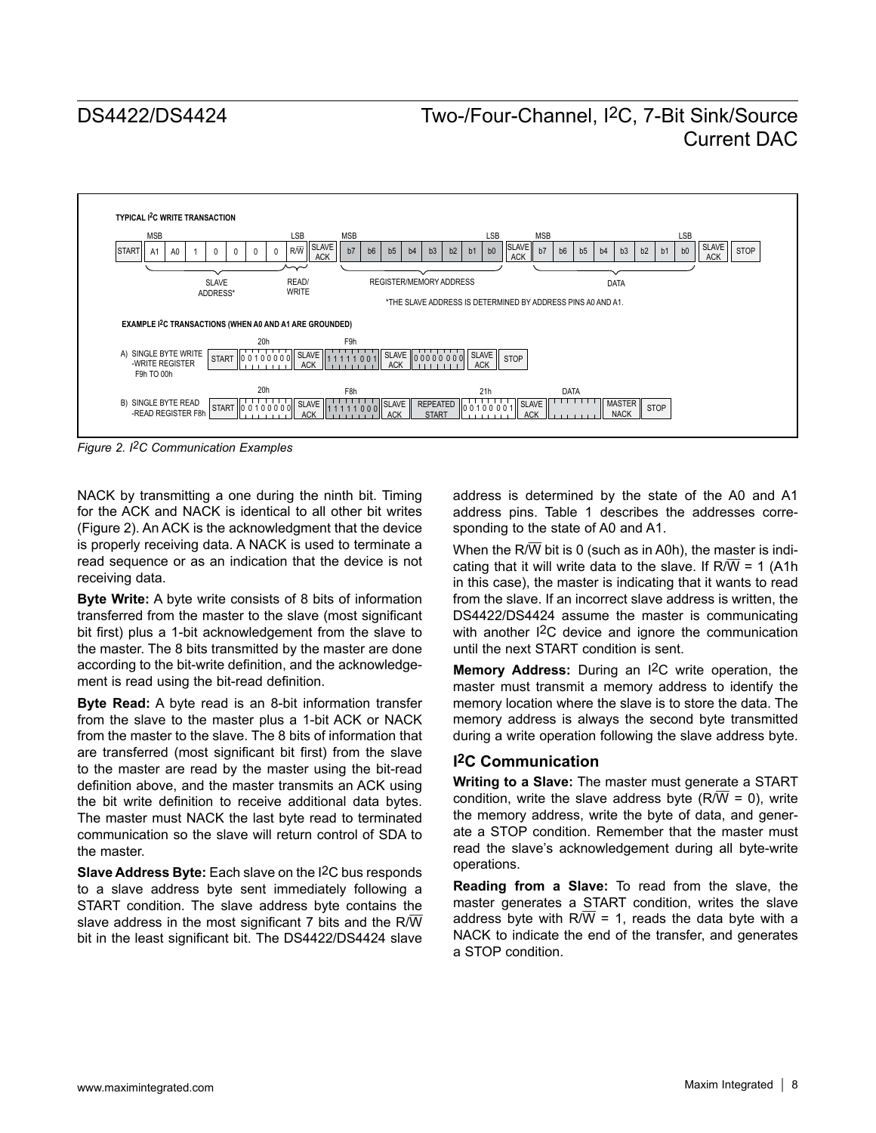

*Figure 2. I2C Communication Examples*

NACK by transmitting a one during the ninth bit. Timing for the ACK and NACK is identical to all other bit writes (Figure 2). An ACK is the acknowledgment that the device is properly receiving data. A NACK is used to terminate a read sequence or as an indication that the device is not receiving data.

**Byte Write:** A byte write consists of 8 bits of information transferred from the master to the slave (most significant bit first) plus a 1-bit acknowledgement from the slave to the master. The 8 bits transmitted by the master are done according to the bit-write definition, and the acknowledgement is read using the bit-read definition.

**Byte Read:** A byte read is an 8-bit information transfer from the slave to the master plus a 1-bit ACK or NACK from the master to the slave. The 8 bits of information that are transferred (most significant bit first) from the slave to the master are read by the master using the bit-read definition above, and the master transmits an ACK using the bit write definition to receive additional data bytes. The master must NACK the last byte read to terminated communication so the slave will return control of SDA to the master.

**Slave Address Byte:** Each slave on the I2C bus responds to a slave address byte sent immediately following a START condition. The slave address byte contains the slave address in the most significant 7 bits and the R/ $\overline{W}$ bit in the least significant bit. The DS4422/DS4424 slave

address is determined by the state of the A0 and A1 address pins. Table 1 describes the addresses corresponding to the state of A0 and A1.

When the R/ $\overline{W}$  bit is 0 (such as in A0h), the master is indicating that it will write data to the slave. If  $R/\overline{W} = 1$  (A1h in this case), the master is indicating that it wants to read from the slave. If an incorrect slave address is written, the DS4422/DS4424 assume the master is communicating with another I2C device and ignore the communication until the next START condition is sent.

**Memory Address:** During an I2C write operation, the master must transmit a memory address to identify the memory location where the slave is to store the data. The memory address is always the second byte transmitted during a write operation following the slave address byte.

#### **I2C Communication**

**Writing to a Slave:** The master must generate a START condition, write the slave address byte  $(R/\overline{W} = 0)$ , write the memory address, write the byte of data, and generate a STOP condition. Remember that the master must read the slave's acknowledgement during all byte-write operations.

**Reading from a Slave:** To read from the slave, the master generates a START condition, writes the slave address byte with  $R/\overline{W}$  = 1, reads the data byte with a NACK to indicate the end of the transfer, and generates a STOP condition.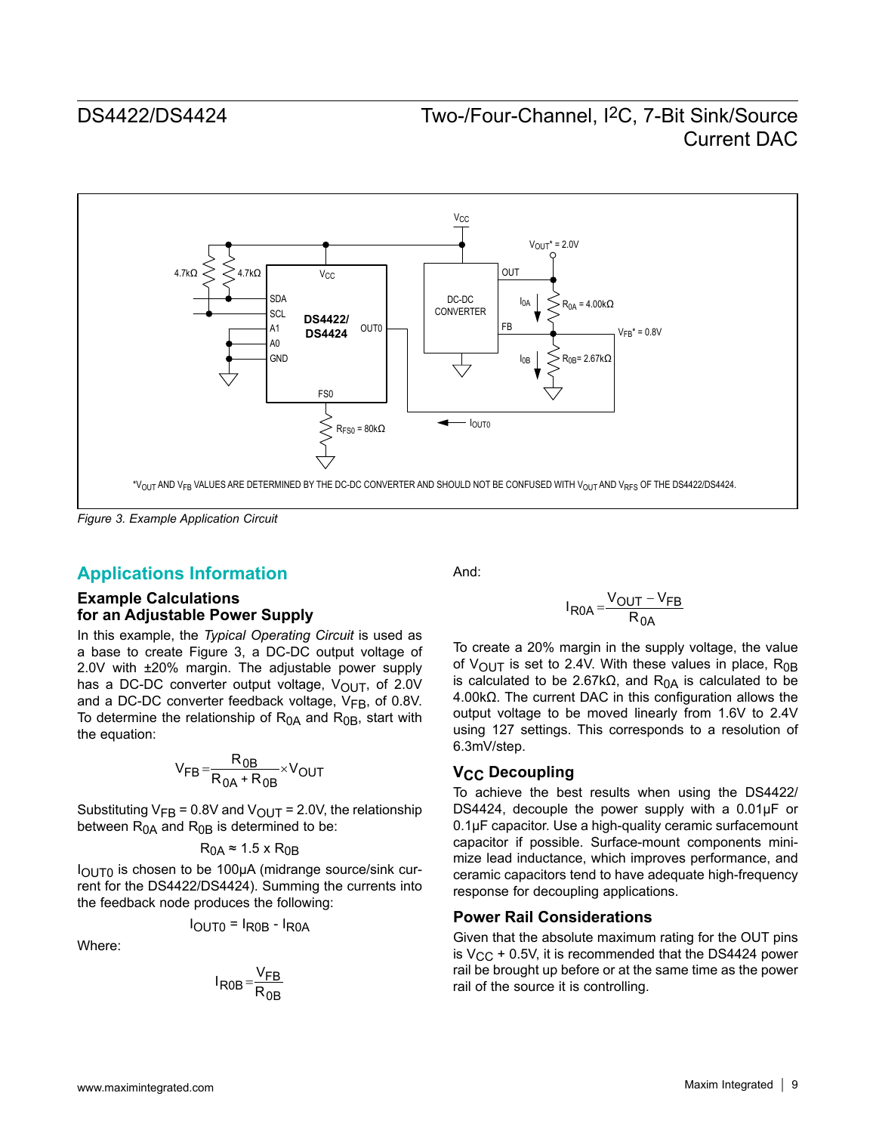

*Figure 3. Example Application Circuit*

## **Applications Information**

#### **Example Calculations for an Adjustable Power Supply**

In this example, the *Typical Operating Circuit* is used as a base to create Figure 3, a DC-DC output voltage of 2.0V with ±20% margin. The adjustable power supply has a DC-DC converter output voltage,  $V_{\text{OUT}}$ , of 2.0V and a DC-DC converter feedback voltage,  $V_{FB}$ , of 0.8V. To determine the relationship of  $R<sub>0A</sub>$  and  $R<sub>0B</sub>$ , start with the equation:

$$
V_{FB} = \frac{R_{0B}}{R_{0A} + R_{0B}} \times V_{OUT}
$$

Substituting  $V_{FB} = 0.8V$  and  $V_{OUT} = 2.0V$ , the relationship between  $R<sub>0A</sub>$  and  $R<sub>0B</sub>$  is determined to be:

$$
R_{0A} \approx 1.5 \times R_{0B}
$$

 $I<sub>OUT0</sub>$  is chosen to be 100μA (midrange source/sink current for the DS4422/DS4424). Summing the currents into the feedback node produces the following:

$$
I_{\text{OUTO}} = I_{\text{ROB}} - I_{\text{ROA}}
$$

Where:

$$
I_{R0B} = \frac{V_{FB}}{R_{0B}}
$$

And:

$$
I_{R0A} = \frac{V_{OUT} - V_{FB}}{R_{0A}}
$$

To create a 20% margin in the supply voltage, the value of  $V_{\text{OUT}}$  is set to 2.4V. With these values in place, R<sub>0B</sub> is calculated to be 2.67k $\Omega$ , and R<sub>0A</sub> is calculated to be 4.00kΩ. The current DAC in this configuration allows the output voltage to be moved linearly from 1.6V to 2.4V using 127 settings. This corresponds to a resolution of 6.3mV/step.

### **V<sub>CC</sub>** Decoupling

To achieve the best results when using the DS4422/ DS4424, decouple the power supply with a 0.01μF or 0.1μF capacitor. Use a high-quality ceramic surfacemount capacitor if possible. Surface-mount components minimize lead inductance, which improves performance, and ceramic capacitors tend to have adequate high-frequency response for decoupling applications.

### **Power Rail Considerations**

Given that the absolute maximum rating for the OUT pins is  $V_{CC}$  + 0.5V, it is recommended that the DS4424 power rail be brought up before or at the same time as the power rail of the source it is controlling.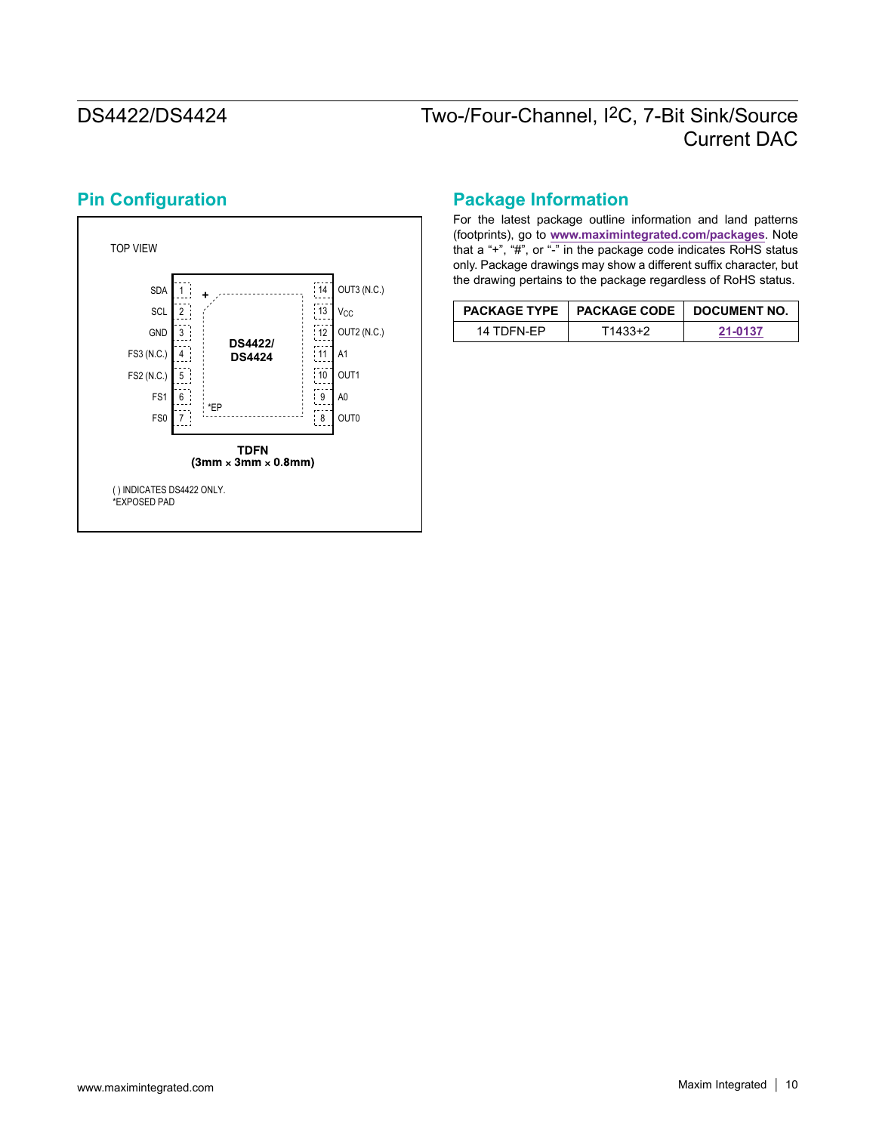

# **Pin Configuration**

## **Package Information**

For the latest package outline information and land patterns (footprints), go to **www.maximintegrated.com/packages**. Note that a "+", "#", or "-" in the package code indicates RoHS status only. Package drawings may show a different suffix character, but the drawing pertains to the package regardless of RoHS status.

|            | PACKAGE TYPE   PACKAGE CODE   DOCUMENT NO. |         |  |
|------------|--------------------------------------------|---------|--|
| 14 TDFN-FP | ⊺1433+2                                    | 21-0137 |  |